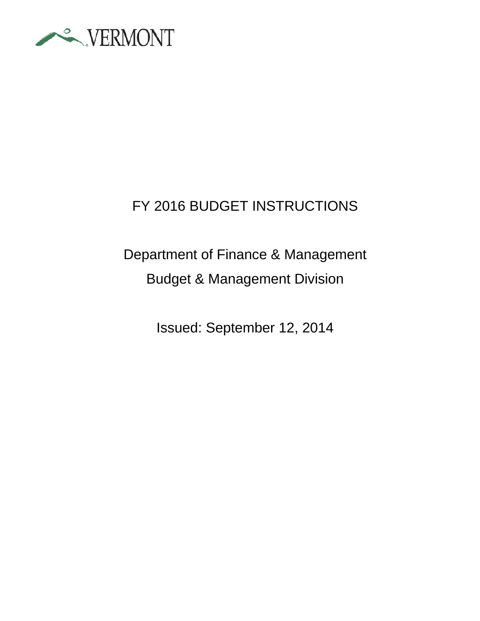

# FY 2016 BUDGET INSTRUCTIONS

# Department of Finance & Management Budget & Management Division

Issued: September 12, 2014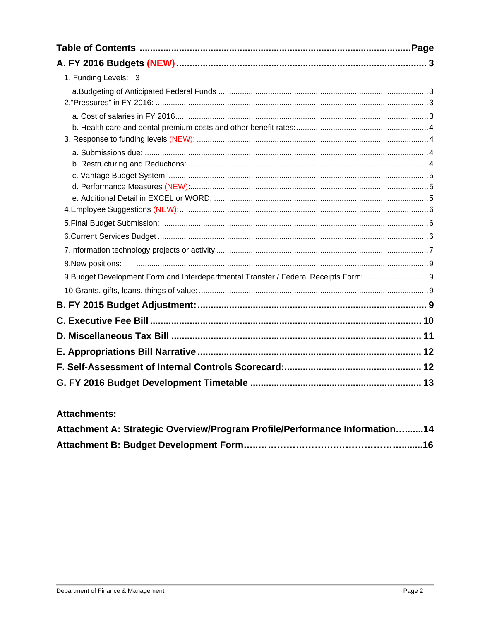| 1. Funding Levels: 3                                                              |  |
|-----------------------------------------------------------------------------------|--|
|                                                                                   |  |
|                                                                                   |  |
|                                                                                   |  |
|                                                                                   |  |
|                                                                                   |  |
|                                                                                   |  |
|                                                                                   |  |
|                                                                                   |  |
|                                                                                   |  |
|                                                                                   |  |
|                                                                                   |  |
|                                                                                   |  |
|                                                                                   |  |
| 8. New positions:                                                                 |  |
| 9.Budget Development Form and Interdepartmental Transfer / Federal Receipts Form: |  |
|                                                                                   |  |
|                                                                                   |  |
|                                                                                   |  |
|                                                                                   |  |
|                                                                                   |  |
|                                                                                   |  |
|                                                                                   |  |

#### **Attachments:**

| Attachment A: Strategic Overview/Program Profile/Performance Information14 |  |
|----------------------------------------------------------------------------|--|
|                                                                            |  |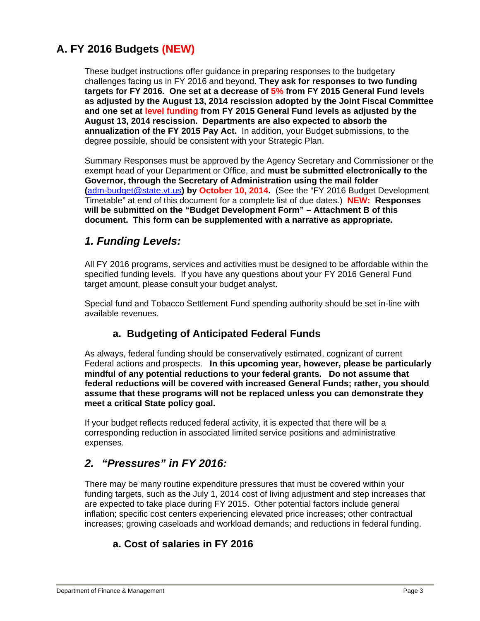## **A. FY 2016 Budgets (NEW)**

These budget instructions offer guidance in preparing responses to the budgetary challenges facing us in FY 2016 and beyond. **They ask for responses to two funding targets for FY 2016. One set at a decrease of 5% from FY 2015 General Fund levels as adjusted by the August 13, 2014 rescission adopted by the Joint Fiscal Committee and one set at level funding from FY 2015 General Fund levels as adjusted by the August 13, 2014 rescission. Departments are also expected to absorb the annualization of the FY 2015 Pay Act.** In addition, your Budget submissions, to the degree possible, should be consistent with your Strategic Plan.

Summary Responses must be approved by the Agency Secretary and Commissioner or the exempt head of your Department or Office, and **must be submitted electronically to the Governor, through the Secretary of Administration using the mail folder (**adm-budget@state.vt.us**) by October 10, 2014.** (See the "FY 2016 Budget Development Timetable" at end of this document for a complete list of due dates.) **NEW: Responses will be submitted on the "Budget Development Form" – Attachment B of this document. This form can be supplemented with a narrative as appropriate.**

## *1. Funding Levels:*

All FY 2016 programs, services and activities must be designed to be affordable within the specified funding levels. If you have any questions about your FY 2016 General Fund target amount, please consult your budget analyst.

Special fund and Tobacco Settlement Fund spending authority should be set in-line with available revenues.

#### **a. Budgeting of Anticipated Federal Funds**

As always, federal funding should be conservatively estimated, cognizant of current Federal actions and prospects. **In this upcoming year, however, please be particularly mindful of any potential reductions to your federal grants. Do not assume that federal reductions will be covered with increased General Funds; rather, you should assume that these programs will not be replaced unless you can demonstrate they meet a critical State policy goal.** 

If your budget reflects reduced federal activity, it is expected that there will be a corresponding reduction in associated limited service positions and administrative expenses.

## *2. "Pressures" in FY 2016:*

There may be many routine expenditure pressures that must be covered within your funding targets, such as the July 1, 2014 cost of living adjustment and step increases that are expected to take place during FY 2015. Other potential factors include general inflation; specific cost centers experiencing elevated price increases; other contractual increases; growing caseloads and workload demands; and reductions in federal funding.

### **a. Cost of salaries in FY 2016**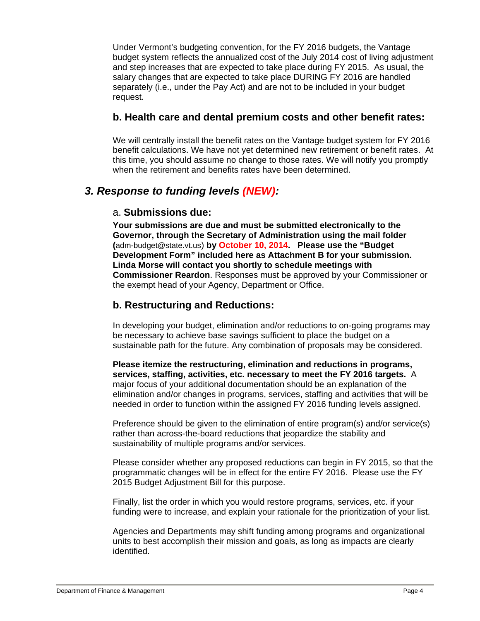Under Vermont's budgeting convention, for the FY 2016 budgets, the Vantage budget system reflects the annualized cost of the July 2014 cost of living adjustment and step increases that are expected to take place during FY 2015. As usual, the salary changes that are expected to take place DURING FY 2016 are handled separately (i.e., under the Pay Act) and are not to be included in your budget request.

#### **b. Health care and dental premium costs and other benefit rates:**

We will centrally install the benefit rates on the Vantage budget system for FY 2016 benefit calculations. We have not yet determined new retirement or benefit rates. At this time, you should assume no change to those rates. We will notify you promptly when the retirement and benefits rates have been determined.

## *3. Response to funding levels (NEW):*

#### a. **Submissions due:**

**Your submissions are due and must be submitted electronically to the Governor, through the Secretary of Administration using the mail folder (**adm-budget@state.vt.us) **by October 10, 2014. Please use the "Budget Development Form" included here as Attachment B for your submission. Linda Morse will contact you shortly to schedule meetings with Commissioner Reardon**. Responses must be approved by your Commissioner or the exempt head of your Agency, Department or Office.

## **b. Restructuring and Reductions:**

In developing your budget, elimination and/or reductions to on-going programs may be necessary to achieve base savings sufficient to place the budget on a sustainable path for the future. Any combination of proposals may be considered.

**Please itemize the restructuring, elimination and reductions in programs, services, staffing, activities, etc. necessary to meet the FY 2016 targets.** A major focus of your additional documentation should be an explanation of the elimination and/or changes in programs, services, staffing and activities that will be needed in order to function within the assigned FY 2016 funding levels assigned.

Preference should be given to the elimination of entire program(s) and/or service(s) rather than across-the-board reductions that jeopardize the stability and sustainability of multiple programs and/or services.

Please consider whether any proposed reductions can begin in FY 2015, so that the programmatic changes will be in effect for the entire FY 2016. Please use the FY 2015 Budget Adjustment Bill for this purpose.

Finally, list the order in which you would restore programs, services, etc. if your funding were to increase, and explain your rationale for the prioritization of your list.

Agencies and Departments may shift funding among programs and organizational units to best accomplish their mission and goals, as long as impacts are clearly identified.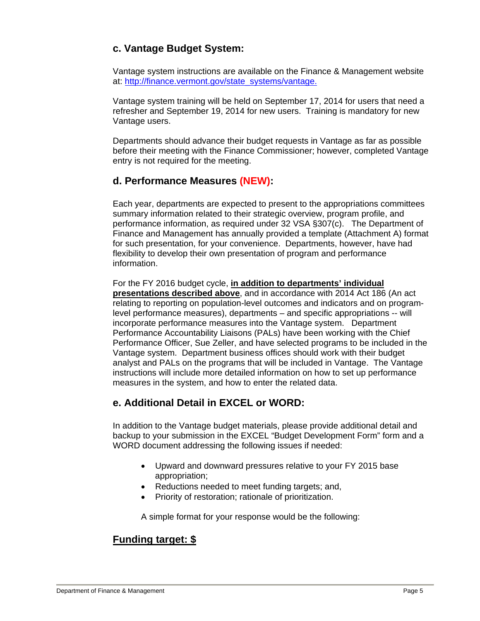## **c. Vantage Budget System:**

Vantage system instructions are available on the Finance & Management website at: http://finance.vermont.gov/state\_systems/vantage.

Vantage system training will be held on September 17, 2014 for users that need a refresher and September 19, 2014 for new users. Training is mandatory for new Vantage users.

Departments should advance their budget requests in Vantage as far as possible before their meeting with the Finance Commissioner; however, completed Vantage entry is not required for the meeting.

#### **d. Performance Measures (NEW):**

Each year, departments are expected to present to the appropriations committees summary information related to their strategic overview, program profile, and performance information, as required under 32 VSA §307(c). The Department of Finance and Management has annually provided a template (Attachment A) format for such presentation, for your convenience. Departments, however, have had flexibility to develop their own presentation of program and performance information.

#### For the FY 2016 budget cycle, **in addition to departments' individual**

**presentations described above**, and in accordance with 2014 Act 186 (An act relating to reporting on population-level outcomes and indicators and on programlevel performance measures), departments – and specific appropriations -- will incorporate performance measures into the Vantage system. Department Performance Accountability Liaisons (PALs) have been working with the Chief Performance Officer, Sue Zeller, and have selected programs to be included in the Vantage system. Department business offices should work with their budget analyst and PALs on the programs that will be included in Vantage. The Vantage instructions will include more detailed information on how to set up performance measures in the system, and how to enter the related data.

### **e. Additional Detail in EXCEL or WORD:**

In addition to the Vantage budget materials, please provide additional detail and backup to your submission in the EXCEL "Budget Development Form" form and a WORD document addressing the following issues if needed:

- Upward and downward pressures relative to your FY 2015 base appropriation;
- Reductions needed to meet funding targets; and,
- Priority of restoration: rationale of prioritization.

A simple format for your response would be the following:

## **Funding target: \$**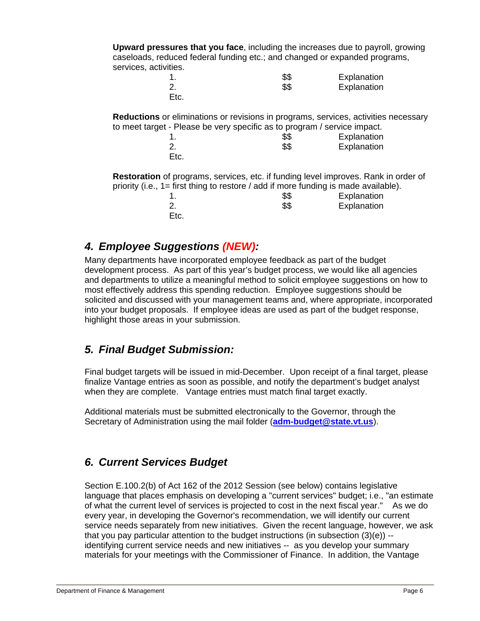**Upward pressures that you face**, including the increases due to payroll, growing caseloads, reduced federal funding etc.; and changed or expanded programs, services, activities.

|          | \$\$ | Explanation |
|----------|------|-------------|
| <u>.</u> | \$\$ | Explanation |
| Etc.     |      |             |

**Reductions** or eliminations or revisions in programs, services, activities necessary to meet target - Please be very specific as to program / service impact.

|      | \$\$ | Explanation |
|------|------|-------------|
|      | \$\$ | Explanation |
| Etc. |      |             |

**Restoration** of programs, services, etc. if funding level improves. Rank in order of priority (i.e., 1= first thing to restore / add if more funding is made available).

| \$\$ | Explanation |
|------|-------------|
| \$\$ | Explanation |
|      |             |

## *4. Employee Suggestions (NEW):*

Many departments have incorporated employee feedback as part of the budget development process. As part of this year's budget process, we would like all agencies and departments to utilize a meaningful method to solicit employee suggestions on how to most effectively address this spending reduction. Employee suggestions should be solicited and discussed with your management teams and, where appropriate, incorporated into your budget proposals. If employee ideas are used as part of the budget response, highlight those areas in your submission.

## *5. Final Budget Submission:*

Final budget targets will be issued in mid-December. Upon receipt of a final target, please finalize Vantage entries as soon as possible, and notify the department's budget analyst when they are complete. Vantage entries must match final target exactly.

Additional materials must be submitted electronically to the Governor, through the Secretary of Administration using the mail folder (**adm-budget@state.vt.us**).

## *6. Current Services Budget*

Section E.100.2(b) of Act 162 of the 2012 Session (see below) contains legislative language that places emphasis on developing a "current services" budget; i.e., "an estimate of what the current level of services is projected to cost in the next fiscal year." As we do every year, in developing the Governor's recommendation, we will identify our current service needs separately from new initiatives. Given the recent language, however, we ask that you pay particular attention to the budget instructions (in subsection  $(3)(e)$ ) -identifying current service needs and new initiatives -- as you develop your summary materials for your meetings with the Commissioner of Finance. In addition, the Vantage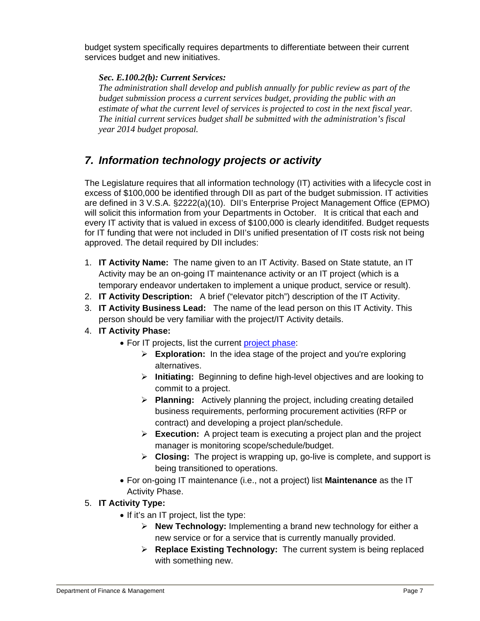budget system specifically requires departments to differentiate between their current services budget and new initiatives.

#### *Sec. E.100.2(b): Current Services:*

*The administration shall develop and publish annually for public review as part of the budget submission process a current services budget, providing the public with an estimate of what the current level of services is projected to cost in the next fiscal year. The initial current services budget shall be submitted with the administration's fiscal year 2014 budget proposal.* 

## *7. Information technology projects or activity*

The Legislature requires that all information technology (IT) activities with a lifecycle cost in excess of \$100,000 be identified through DII as part of the budget submission. IT activities are defined in 3 V.S.A. §2222(a)(10). DII's Enterprise Project Management Office (EPMO) will solicit this information from your Departments in October. It is critical that each and every IT activity that is valued in excess of \$100,000 is clearly idenditifed. Budget requests for IT funding that were not included in DII's unified presentation of IT costs risk not being approved. The detail required by DII includes:

- 1. **IT Activity Name:** The name given to an IT Activity. Based on State statute, an IT Activity may be an on-going IT maintenance activity or an IT project (which is a temporary endeavor undertaken to implement a unique product, service or result).
- 2. **IT Activity Description:** A brief ("elevator pitch") description of the IT Activity.
- 3. **IT Activity Business Lead:** The name of the lead person on this IT Activity. This person should be very familiar with the project/IT Activity details.
- 4. **IT Activity Phase:**
	- For IT projects, list the current project phase:
		- **Exploration:** In the idea stage of the project and you're exploring alternatives.
		- **Initiating:** Beginning to define high-level objectives and are looking to commit to a project.
		- **Planning:** Actively planning the project, including creating detailed business requirements, performing procurement activities (RFP or contract) and developing a project plan/schedule.
		- **Execution:** A project team is executing a project plan and the project manager is monitoring scope/schedule/budget.
		- **Closing:** The project is wrapping up, go-live is complete, and support is being transitioned to operations.
	- For on-going IT maintenance (i.e., not a project) list **Maintenance** as the IT Activity Phase.
- 5. **IT Activity Type:** 
	- $\bullet$  If it's an IT project, list the type:
		- **New Technology:** Implementing a brand new technology for either a new service or for a service that is currently manually provided.
		- **Replace Existing Technology:** The current system is being replaced with something new.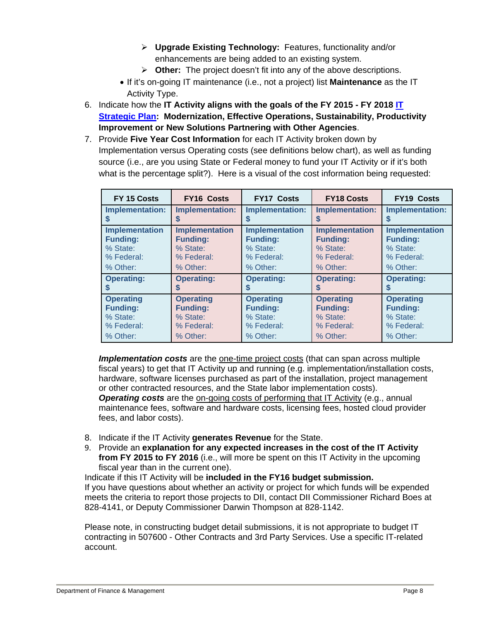- **Upgrade Existing Technology:** Features, functionality and/or enhancements are being added to an existing system.
- **Other:** The project doesn't fit into any of the above descriptions.
- If it's on-going IT maintenance (i.e., not a project) list **Maintenance** as the IT Activity Type.
- 6. Indicate how the **IT Activity aligns with the goals of the FY 2015 FY 2018 IT Strategic Plan: Modernization, Effective Operations, Sustainability, Productivity Improvement or New Solutions Partnering with Other Agencies**.
- 7. Provide **Five Year Cost Information** for each IT Activity broken down by Implementation versus Operating costs (see definitions below chart), as well as funding source (i.e., are you using State or Federal money to fund your IT Activity or if it's both what is the percentage split?). Here is a visual of the cost information being requested:

| FY 15 Costs           | <b>FY16 Costs</b>      | <b>FY17 Costs</b>      | <b>FY18 Costs</b>     | <b>FY19 Costs</b>      |
|-----------------------|------------------------|------------------------|-----------------------|------------------------|
| Implementation:       | <b>Implementation:</b> | <b>Implementation:</b> | Implementation:       | <b>Implementation:</b> |
| S                     | S                      | S                      | S                     | S                      |
| <b>Implementation</b> | <b>Implementation</b>  | <b>Implementation</b>  | <b>Implementation</b> | <b>Implementation</b>  |
| <b>Funding:</b>       | <b>Funding:</b>        | <b>Funding:</b>        | <b>Funding:</b>       | <b>Funding:</b>        |
| % State:              | % State:               | % State:               | % State:              | % State:               |
| % Federal:            | % Federal:             | % Federal:             | % Federal:            | % Federal:             |
| % Other:              | % Other:               | % Other:               | % Other:              | % Other:               |
| <b>Operating:</b>     | <b>Operating:</b>      | <b>Operating:</b>      | <b>Operating:</b>     | <b>Operating:</b>      |
|                       | S                      | S                      | S                     | S                      |
| <b>Operating</b>      | <b>Operating</b>       | <b>Operating</b>       | <b>Operating</b>      | <b>Operating</b>       |
| <b>Funding:</b>       | <b>Funding:</b>        | <b>Funding:</b>        | <b>Funding:</b>       | <b>Funding:</b>        |
| % State:              | % State:               | % State:               | % State:              | % State:               |
| % Federal:            | % Federal:             | % Federal:             | % Federal:            | % Federal:             |
| % Other:              | % Other:               | % Other:               | % Other:              | % Other:               |

*Implementation costs* are the one-time project costs (that can span across multiple fiscal years) to get that IT Activity up and running (e.g. implementation/installation costs, hardware, software licenses purchased as part of the installation, project management or other contracted resources, and the State labor implementation costs).

*Operating costs* are the on-going costs of performing that IT Activity (e.g., annual maintenance fees, software and hardware costs, licensing fees, hosted cloud provider fees, and labor costs).

- 8. Indicate if the IT Activity **generates Revenue** for the State.
- 9. Provide an **explanation for any expected increases in the cost of the IT Activity from FY 2015 to FY 2016** (i.e., will more be spent on this IT Activity in the upcoming fiscal year than in the current one).

Indicate if this IT Activity will be **included in the FY16 budget submission.**  If you have questions about whether an activity or project for which funds will be expended meets the criteria to report those projects to DII, contact DII Commissioner Richard Boes at 828-4141, or Deputy Commissioner Darwin Thompson at 828-1142.

Please note, in constructing budget detail submissions, it is not appropriate to budget IT contracting in 507600 - Other Contracts and 3rd Party Services. Use a specific IT-related account.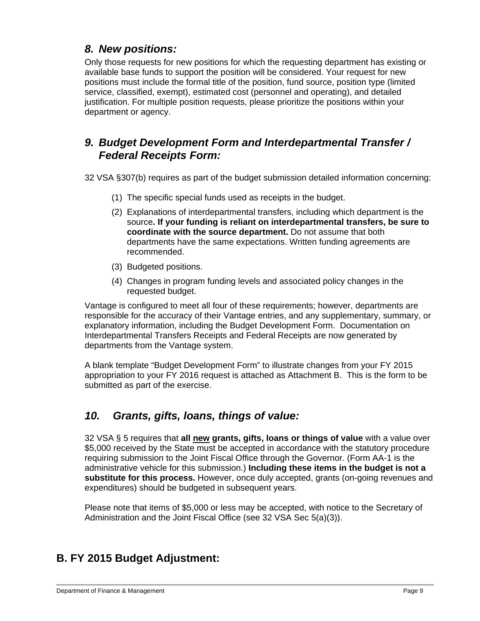## *8. New positions:*

Only those requests for new positions for which the requesting department has existing or available base funds to support the position will be considered. Your request for new positions must include the formal title of the position, fund source, position type (limited service, classified, exempt), estimated cost (personnel and operating), and detailed justification. For multiple position requests, please prioritize the positions within your department or agency.

## *9. Budget Development Form and Interdepartmental Transfer / Federal Receipts Form:*

32 VSA §307(b) requires as part of the budget submission detailed information concerning:

- (1) The specific special funds used as receipts in the budget.
- (2) Explanations of interdepartmental transfers, including which department is the source**. If your funding is reliant on interdepartmental transfers, be sure to coordinate with the source department.** Do not assume that both departments have the same expectations. Written funding agreements are recommended.
- (3) Budgeted positions.
- (4) Changes in program funding levels and associated policy changes in the requested budget.

Vantage is configured to meet all four of these requirements; however, departments are responsible for the accuracy of their Vantage entries, and any supplementary, summary, or explanatory information, including the Budget Development Form. Documentation on Interdepartmental Transfers Receipts and Federal Receipts are now generated by departments from the Vantage system.

A blank template "Budget Development Form" to illustrate changes from your FY 2015 appropriation to your FY 2016 request is attached as Attachment B. This is the form to be submitted as part of the exercise.

## *10. Grants, gifts, loans, things of value:*

32 VSA § 5 requires that **all new grants, gifts, loans or things of value** with a value over \$5,000 received by the State must be accepted in accordance with the statutory procedure requiring submission to the Joint Fiscal Office through the Governor. (Form AA-1 is the administrative vehicle for this submission.) **Including these items in the budget is not a substitute for this process.** However, once duly accepted, grants (on-going revenues and expenditures) should be budgeted in subsequent years.

Please note that items of \$5,000 or less may be accepted, with notice to the Secretary of Administration and the Joint Fiscal Office (see 32 VSA Sec 5(a)(3)).

## **B. FY 2015 Budget Adjustment:**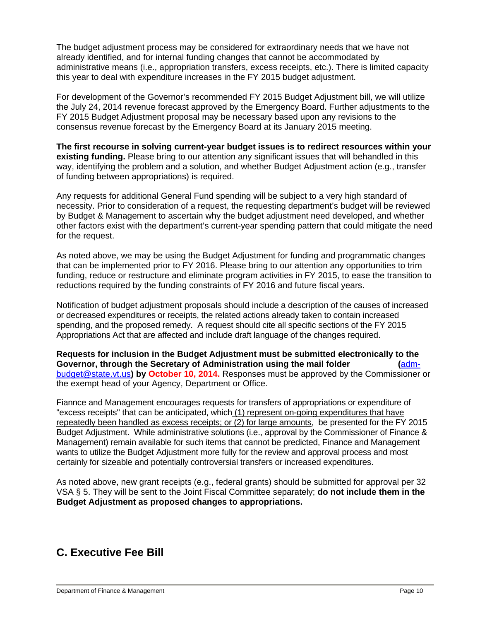The budget adjustment process may be considered for extraordinary needs that we have not already identified, and for internal funding changes that cannot be accommodated by administrative means (i.e., appropriation transfers, excess receipts, etc.). There is limited capacity this year to deal with expenditure increases in the FY 2015 budget adjustment.

For development of the Governor's recommended FY 2015 Budget Adjustment bill, we will utilize the July 24, 2014 revenue forecast approved by the Emergency Board. Further adjustments to the FY 2015 Budget Adjustment proposal may be necessary based upon any revisions to the consensus revenue forecast by the Emergency Board at its January 2015 meeting.

**The first recourse in solving current-year budget issues is to redirect resources within your existing funding.** Please bring to our attention any significant issues that will behandled in this way, identifying the problem and a solution, and whether Budget Adjustment action (e.g., transfer of funding between appropriations) is required.

Any requests for additional General Fund spending will be subject to a very high standard of necessity. Prior to consideration of a request, the requesting department's budget will be reviewed by Budget & Management to ascertain why the budget adjustment need developed, and whether other factors exist with the department's current-year spending pattern that could mitigate the need for the request.

As noted above, we may be using the Budget Adjustment for funding and programmatic changes that can be implemented prior to FY 2016. Please bring to our attention any opportunities to trim funding, reduce or restructure and eliminate program activities in FY 2015, to ease the transition to reductions required by the funding constraints of FY 2016 and future fiscal years.

Notification of budget adjustment proposals should include a description of the causes of increased or decreased expenditures or receipts, the related actions already taken to contain increased spending, and the proposed remedy. A request should cite all specific sections of the FY 2015 Appropriations Act that are affected and include draft language of the changes required.

**Requests for inclusion in the Budget Adjustment must be submitted electronically to the Governor, through the Secretary of Administration using the mail folder (**admbudget@state.vt.us**) by October 10, 2014.** Responses must be approved by the Commissioner or the exempt head of your Agency, Department or Office.

Fiannce and Management encourages requests for transfers of appropriations or expenditure of "excess receipts" that can be anticipated, which (1) represent on-going expenditures that have repeatedly been handled as excess receipts; or (2) for large amounts, be presented for the FY 2015 Budget Adjustment. While administrative solutions (i.e., approval by the Commissioner of Finance & Management) remain available for such items that cannot be predicted, Finance and Management wants to utilize the Budget Adjustment more fully for the review and approval process and most certainly for sizeable and potentially controversial transfers or increased expenditures.

As noted above, new grant receipts (e.g., federal grants) should be submitted for approval per 32 VSA § 5. They will be sent to the Joint Fiscal Committee separately; **do not include them in the Budget Adjustment as proposed changes to appropriations.** 

## **C. Executive Fee Bill**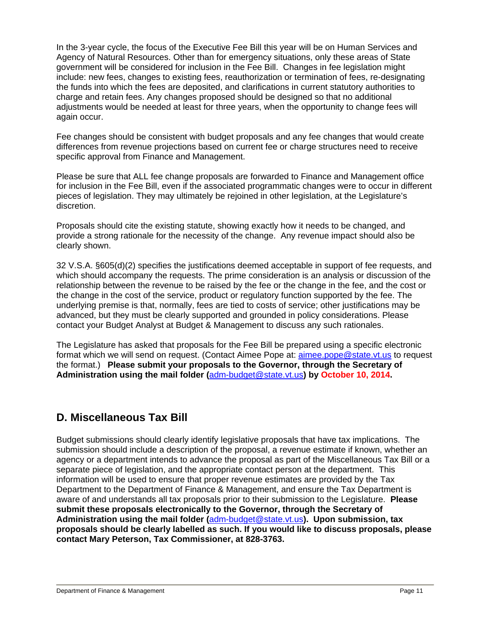In the 3-year cycle, the focus of the Executive Fee Bill this year will be on Human Services and Agency of Natural Resources. Other than for emergency situations, only these areas of State government will be considered for inclusion in the Fee Bill. Changes in fee legislation might include: new fees, changes to existing fees, reauthorization or termination of fees, re-designating the funds into which the fees are deposited, and clarifications in current statutory authorities to charge and retain fees. Any changes proposed should be designed so that no additional adjustments would be needed at least for three years, when the opportunity to change fees will again occur.

Fee changes should be consistent with budget proposals and any fee changes that would create differences from revenue projections based on current fee or charge structures need to receive specific approval from Finance and Management.

Please be sure that ALL fee change proposals are forwarded to Finance and Management office for inclusion in the Fee Bill, even if the associated programmatic changes were to occur in different pieces of legislation. They may ultimately be rejoined in other legislation, at the Legislature's discretion.

Proposals should cite the existing statute, showing exactly how it needs to be changed, and provide a strong rationale for the necessity of the change. Any revenue impact should also be clearly shown.

32 V.S.A. §605(d)(2) specifies the justifications deemed acceptable in support of fee requests, and which should accompany the requests. The prime consideration is an analysis or discussion of the relationship between the revenue to be raised by the fee or the change in the fee, and the cost or the change in the cost of the service, product or regulatory function supported by the fee. The underlying premise is that, normally, fees are tied to costs of service; other justifications may be advanced, but they must be clearly supported and grounded in policy considerations. Please contact your Budget Analyst at Budget & Management to discuss any such rationales.

The Legislature has asked that proposals for the Fee Bill be prepared using a specific electronic format which we will send on request. (Contact Aimee Pope at: aimee.pope@state.vt.us to request the format.) **Please submit your proposals to the Governor, through the Secretary of Administration using the mail folder (**adm-budget@state.vt.us**) by October 10, 2014.**

## **D. Miscellaneous Tax Bill**

Budget submissions should clearly identify legislative proposals that have tax implications. The submission should include a description of the proposal, a revenue estimate if known, whether an agency or a department intends to advance the proposal as part of the Miscellaneous Tax Bill or a separate piece of legislation, and the appropriate contact person at the department. This information will be used to ensure that proper revenue estimates are provided by the Tax Department to the Department of Finance & Management, and ensure the Tax Department is aware of and understands all tax proposals prior to their submission to the Legislature. **Please submit these proposals electronically to the Governor, through the Secretary of Administration using the mail folder (**adm-budget@state.vt.us**). Upon submission, tax proposals should be clearly labelled as such. If you would like to discuss proposals, please contact Mary Peterson, Tax Commissioner, at 828-3763.**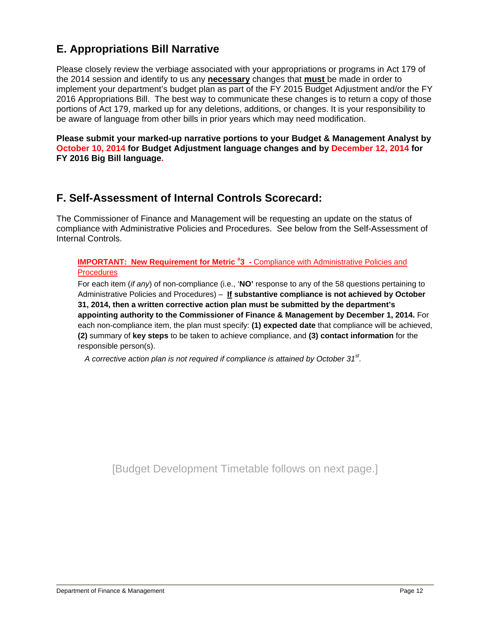## **E. Appropriations Bill Narrative**

Please closely review the verbiage associated with your appropriations or programs in Act 179 of the 2014 session and identify to us any **necessary** changes that **must** be made in order to implement your department's budget plan as part of the FY 2015 Budget Adjustment and/or the FY 2016 Appropriations Bill. The best way to communicate these changes is to return a copy of those portions of Act 179, marked up for any deletions, additions, or changes. It is your responsibility to be aware of language from other bills in prior years which may need modification.

**Please submit your marked-up narrative portions to your Budget & Management Analyst by October 10, 2014 for Budget Adjustment language changes and by December 12, 2014 for FY 2016 Big Bill language.** 

## **F. Self-Assessment of Internal Controls Scorecard:**

The Commissioner of Finance and Management will be requesting an update on the status of compliance with Administrative Policies and Procedures. See below from the Self-Assessment of Internal Controls.

#### **IMPORTANT: New Requirement for Metric #3 - Compliance with Administrative Policies and Procedures**

For each item (*if any*) of non-compliance (i.e., '**NO'** response to any of the 58 questions pertaining to Administrative Policies and Procedures) – **If substantive compliance is not achieved by October 31, 2014, then a written corrective action plan must be submitted by the department's appointing authority to the Commissioner of Finance & Management by December 1, 2014.** For each non-compliance item, the plan must specify: **(1) expected date** that compliance will be achieved, **(2)** summary of **key steps** to be taken to achieve compliance, and **(3) contact information** for the responsible person(s).

*A corrective action plan is not required if compliance is attained by October 31st.* 

[Budget Development Timetable follows on next page.]